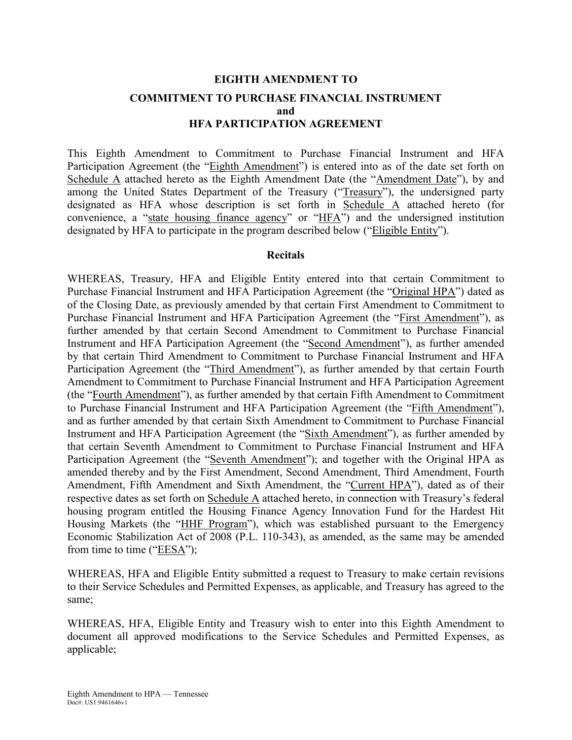## **EIGHTH AMENDMENT TO COMMITMENT TO PURCHASE FINANCIAL INSTRUMENT and HFA PARTICIPATION AGREEMENT**

This Eighth Amendment to Commitment to Purchase Financial Instrument and HFA Participation Agreement (the "Eighth Amendment") is entered into as of the date set forth on Schedule A attached hereto as the Eighth Amendment Date (the "Amendment Date"), by and among the United States Department of the Treasury ("Treasury"), the undersigned party designated as HFA whose description is set forth in Schedule A attached hereto (for convenience, a "state housing finance agency" or "HFA") and the undersigned institution designated by HFA to participate in the program described below ("Eligible Entity").

#### **Recitals**

WHEREAS, Treasury, HFA and Eligible Entity entered into that certain Commitment to Purchase Financial Instrument and HFA Participation Agreement (the "Original HPA") dated as of the Closing Date, as previously amended by that certain First Amendment to Commitment to Purchase Financial Instrument and HFA Participation Agreement (the "First Amendment"), as further amended by that certain Second Amendment to Commitment to Purchase Financial Instrument and HFA Participation Agreement (the "Second Amendment"), as further amended by that certain Third Amendment to Commitment to Purchase Financial Instrument and HFA Participation Agreement (the "Third Amendment"), as further amended by that certain Fourth Amendment to Commitment to Purchase Financial Instrument and HFA Participation Agreement (the "Fourth Amendment"), as further amended by that certain Fifth Amendment to Commitment to Purchase Financial Instrument and HFA Participation Agreement (the "Fifth Amendment"), and as further amended by that certain Sixth Amendment to Commitment to Purchase Financial Instrument and HFA Participation Agreement (the "Sixth Amendment"), as further amended by that certain Seventh Amendment to Commitment to Purchase Financial Instrument and HFA Participation Agreement (the "Seventh Amendment"); and together with the Original HPA as amended thereby and by the First Amendment, Second Amendment, Third Amendment, Fourth Amendment, Fifth Amendment and Sixth Amendment, the "Current HPA"), dated as of their respective dates as set forth on Schedule A attached hereto, in connection with Treasury's federal housing program entitled the Housing Finance Agency Innovation Fund for the Hardest Hit Housing Markets (the "HHF Program"), which was established pursuant to the Emergency Economic Stabilization Act of 2008 (P.L. 110-343), as amended, as the same may be amended from time to time ("EESA");

WHEREAS, HFA and Eligible Entity submitted a request to Treasury to make certain revisions to their Service Schedules and Permitted Expenses, as applicable, and Treasury has agreed to the same;

WHEREAS, HFA, Eligible Entity and Treasury wish to enter into this Eighth Amendment to document all approved modifications to the Service Schedules and Permitted Expenses, as applicable;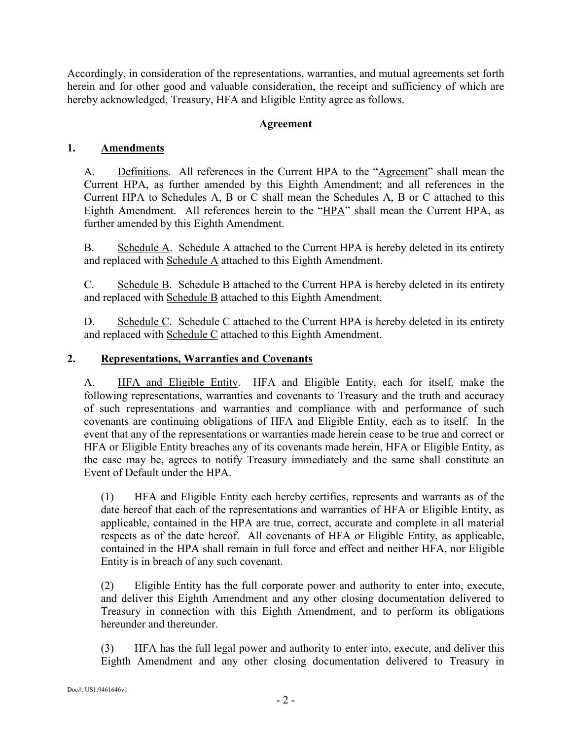Accordingly, in consideration of the representations, warranties, and mutual agreements set forth herein and for other good and valuable consideration, the receipt and sufficiency of which are hereby acknowledged, Treasury, HFA and Eligible Entity agree as follows.

## **Agreement**

## **1. Amendments**

A. Definitions. All references in the Current HPA to the "Agreement" shall mean the Current HPA, as further amended by this Eighth Amendment; and all references in the Current HPA to Schedules A, B or C shall mean the Schedules A, B or C attached to this Eighth Amendment. All references herein to the "HPA" shall mean the Current HPA, as further amended by this Eighth Amendment.

B. Schedule A. Schedule A attached to the Current HPA is hereby deleted in its entirety and replaced with Schedule A attached to this Eighth Amendment.

C. Schedule B. Schedule B attached to the Current HPA is hereby deleted in its entirety and replaced with Schedule B attached to this Eighth Amendment.

D. Schedule C. Schedule C attached to the Current HPA is hereby deleted in its entirety and replaced with Schedule C attached to this Eighth Amendment.

## **2. Representations, Warranties and Covenants**

A. HFA and Eligible Entity. HFA and Eligible Entity, each for itself, make the following representations, warranties and covenants to Treasury and the truth and accuracy of such representations and warranties and compliance with and performance of such covenants are continuing obligations of HFA and Eligible Entity, each as to itself. In the event that any of the representations or warranties made herein cease to be true and correct or HFA or Eligible Entity breaches any of its covenants made herein, HFA or Eligible Entity, as the case may be, agrees to notify Treasury immediately and the same shall constitute an Event of Default under the HPA.

(1) HFA and Eligible Entity each hereby certifies, represents and warrants as of the date hereof that each of the representations and warranties of HFA or Eligible Entity, as applicable, contained in the HPA are true, correct, accurate and complete in all material respects as of the date hereof. All covenants of HFA or Eligible Entity, as applicable, contained in the HPA shall remain in full force and effect and neither HFA, nor Eligible Entity is in breach of any such covenant.

(2) Eligible Entity has the full corporate power and authority to enter into, execute, and deliver this Eighth Amendment and any other closing documentation delivered to Treasury in connection with this Eighth Amendment, and to perform its obligations hereunder and thereunder

(3) HFA has the full legal power and authority to enter into, execute, and deliver this Eighth Amendment and any other closing documentation delivered to Treasury in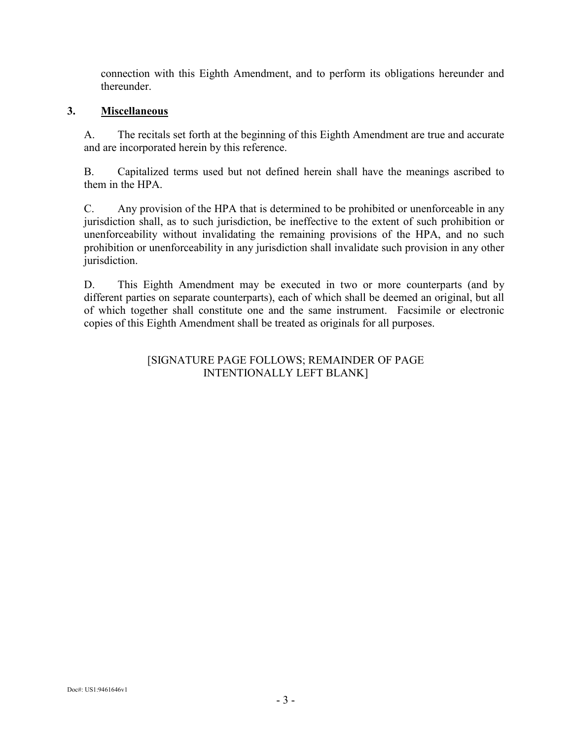connection with this Eighth Amendment, and to perform its obligations hereunder and thereunder.

## **3. Miscellaneous**

A. The recitals set forth at the beginning of this Eighth Amendment are true and accurate and are incorporated herein by this reference.

B. Capitalized terms used but not defined herein shall have the meanings ascribed to them in the HPA.

C. Any provision of the HPA that is determined to be prohibited or unenforceable in any jurisdiction shall, as to such jurisdiction, be ineffective to the extent of such prohibition or unenforceability without invalidating the remaining provisions of the HPA, and no such prohibition or unenforceability in any jurisdiction shall invalidate such provision in any other jurisdiction.

D. This Eighth Amendment may be executed in two or more counterparts (and by different parties on separate counterparts), each of which shall be deemed an original, but all of which together shall constitute one and the same instrument. Facsimile or electronic copies of this Eighth Amendment shall be treated as originals for all purposes.

## [SIGNATURE PAGE FOLLOWS; REMAINDER OF PAGE INTENTIONALLY LEFT BLANK]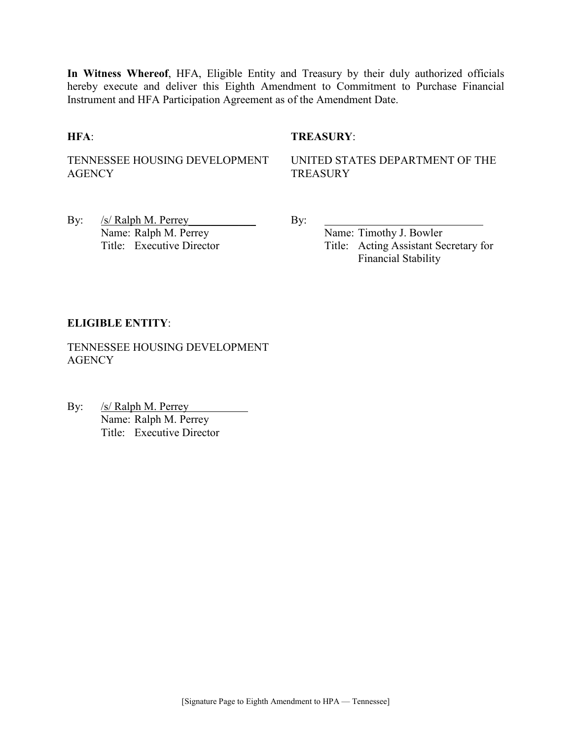**In Witness Whereof**, HFA, Eligible Entity and Treasury by their duly authorized officials hereby execute and deliver this Eighth Amendment to Commitment to Purchase Financial Instrument and HFA Participation Agreement as of the Amendment Date.

#### **HFA**: **TREASURY**:

TENNESSEE HOUSING DEVELOPMENT **AGENCY** 

UNITED STATES DEPARTMENT OF THE **TREASURY** 

By: <u>/s/ Ralph M. Perrey</u> By: Name: Ralph M. Perrey<br>
Title: Executive Director<br>
Title: Acting Assistant Sec

Title: Acting Assistant Secretary for Financial Stability

#### **ELIGIBLE ENTITY**:

TENNESSEE HOUSING DEVELOPMENT **AGENCY** 

By: /s/ Ralph M. Perrey Name: Ralph M. Perrey Title: Executive Director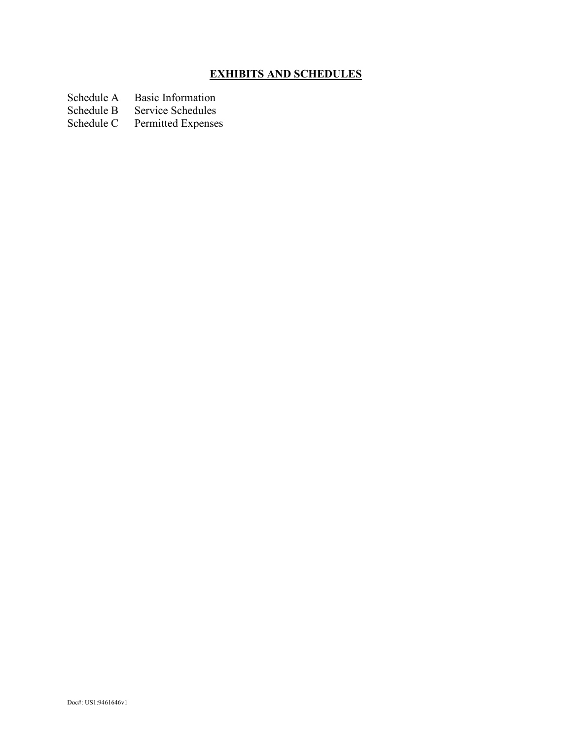## **EXHIBITS AND SCHEDULES**

Schedule A Basic Information<br>Schedule B Service Schedules

Schedule B Service Schedules<br>Schedule C Permitted Expense

Permitted Expenses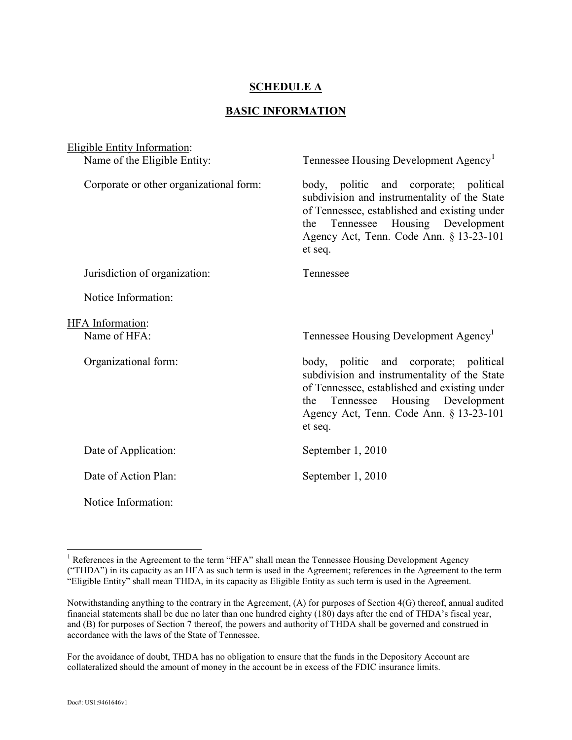## **SCHEDULE A**

#### **BASIC INFORMATION**

| <b>Eligible Entity Information:</b>     |                                                                                                                                                                                                                                      |  |  |
|-----------------------------------------|--------------------------------------------------------------------------------------------------------------------------------------------------------------------------------------------------------------------------------------|--|--|
| Name of the Eligible Entity:            | Tennessee Housing Development Agency <sup>1</sup>                                                                                                                                                                                    |  |  |
| Corporate or other organizational form: | body, politic and corporate; political<br>subdivision and instrumentality of the State<br>of Tennessee, established and existing under<br>Tennessee Housing Development<br>the<br>Agency Act, Tenn. Code Ann. § 13-23-101<br>et seq. |  |  |
| Jurisdiction of organization:           | Tennessee                                                                                                                                                                                                                            |  |  |
| Notice Information:                     |                                                                                                                                                                                                                                      |  |  |
| <b>HFA</b> Information:                 |                                                                                                                                                                                                                                      |  |  |
| Name of HFA:                            | Tennessee Housing Development Agency <sup>1</sup>                                                                                                                                                                                    |  |  |
| Organizational form:                    | body, politic and corporate; political<br>subdivision and instrumentality of the State<br>of Tennessee, established and existing under<br>Tennessee Housing Development<br>the<br>Agency Act, Tenn. Code Ann. § 13-23-101<br>et seq. |  |  |
| Date of Application:                    | September 1, 2010                                                                                                                                                                                                                    |  |  |
| Date of Action Plan:                    | September 1, 2010                                                                                                                                                                                                                    |  |  |
| Notice Information:                     |                                                                                                                                                                                                                                      |  |  |

<span id="page-5-0"></span><sup>&</sup>lt;sup>1</sup> References in the Agreement to the term "HFA" shall mean the Tennessee Housing Development Agency ("THDA") in its capacity as an HFA as such term is used in the Agreement; references in the Agreement to the term "Eligible Entity" shall mean THDA, in its capacity as Eligible Entity as such term is used in the Agreement.

Notwithstanding anything to the contrary in the Agreement, (A) for purposes of Section 4(G) thereof, annual audited financial statements shall be due no later than one hundred eighty (180) days after the end of THDA's fiscal year, and (B) for purposes of Section 7 thereof, the powers and authority of THDA shall be governed and construed in accordance with the laws of the State of Tennessee.

For the avoidance of doubt, THDA has no obligation to ensure that the funds in the Depository Account are collateralized should the amount of money in the account be in excess of the FDIC insurance limits.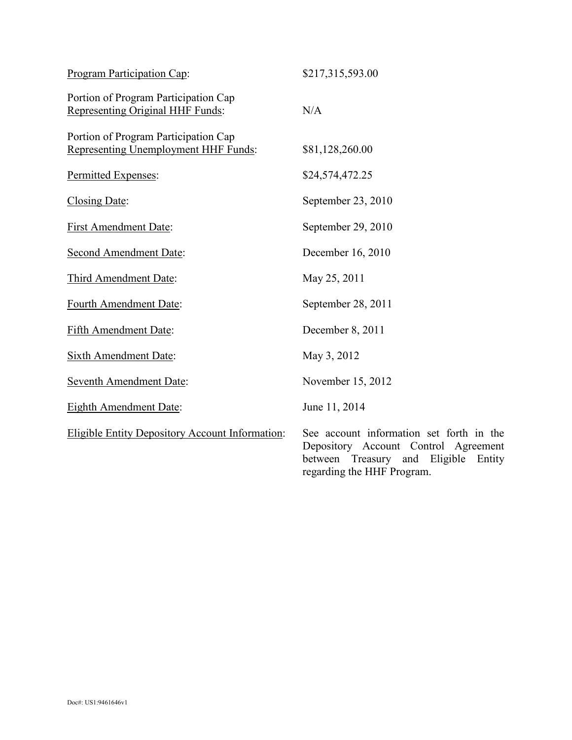| Program Participation Cap:                                                   | \$217,315,593.00                                                                                                                                                |
|------------------------------------------------------------------------------|-----------------------------------------------------------------------------------------------------------------------------------------------------------------|
| Portion of Program Participation Cap<br>Representing Original HHF Funds:     | N/A                                                                                                                                                             |
| Portion of Program Participation Cap<br>Representing Unemployment HHF Funds: | \$81,128,260.00                                                                                                                                                 |
| Permitted Expenses:                                                          | \$24,574,472.25                                                                                                                                                 |
| Closing Date:                                                                | September 23, 2010                                                                                                                                              |
| <b>First Amendment Date:</b>                                                 | September 29, 2010                                                                                                                                              |
| <b>Second Amendment Date:</b>                                                | December 16, 2010                                                                                                                                               |
| Third Amendment Date:                                                        | May 25, 2011                                                                                                                                                    |
| Fourth Amendment Date:                                                       | September 28, 2011                                                                                                                                              |
| <b>Fifth Amendment Date:</b>                                                 | December 8, 2011                                                                                                                                                |
| <b>Sixth Amendment Date:</b>                                                 | May 3, 2012                                                                                                                                                     |
| <b>Seventh Amendment Date:</b>                                               | November 15, 2012                                                                                                                                               |
| <b>Eighth Amendment Date:</b>                                                | June 11, 2014                                                                                                                                                   |
| <b>Eligible Entity Depository Account Information:</b>                       | See account information set forth in the<br>Depository Account Control Agreement<br>Treasury and<br>Eligible<br>between<br>Entity<br>regarding the HHF Program. |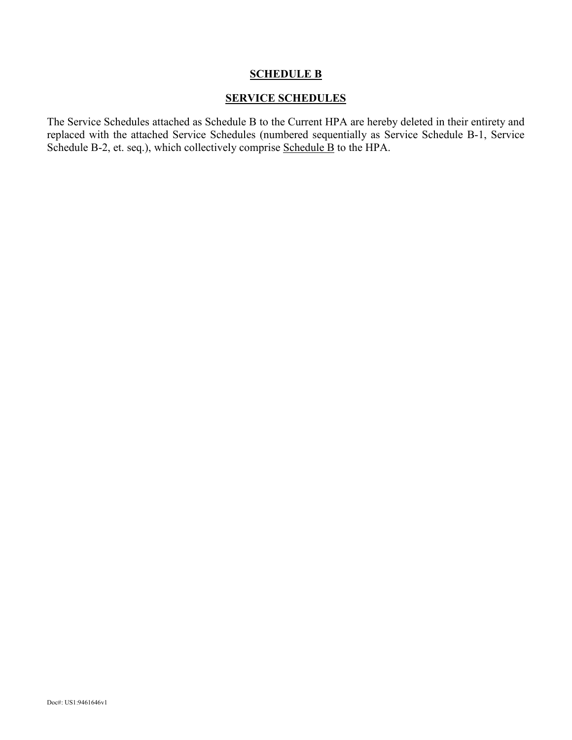## **SCHEDULE B**

## **SERVICE SCHEDULES**

The Service Schedules attached as Schedule B to the Current HPA are hereby deleted in their entirety and replaced with the attached Service Schedules (numbered sequentially as Service Schedule B-1, Service Schedule B-2, et. seq.), which collectively comprise Schedule B to the HPA.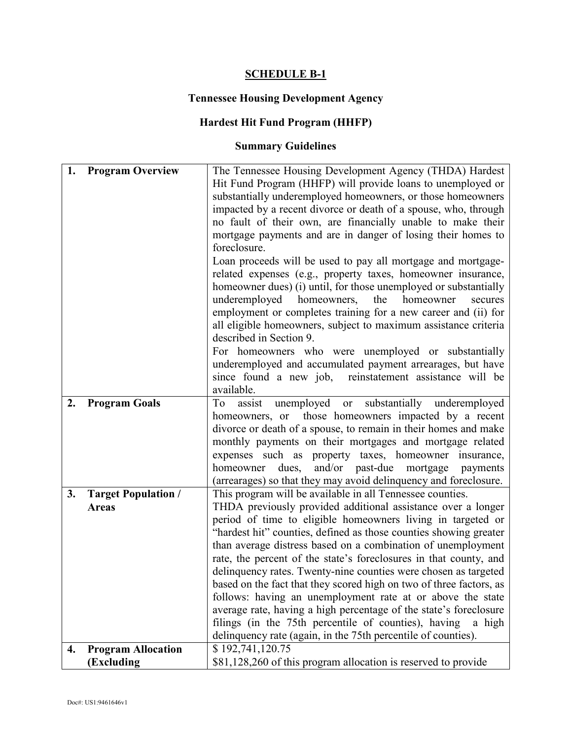## **SCHEDULE B-1**

## **Tennessee Housing Development Agency**

## **Hardest Hit Fund Program (HHFP)**

## **Summary Guidelines**

| 1. | <b>Program Overview</b>    | The Tennessee Housing Development Agency (THDA) Hardest<br>Hit Fund Program (HHFP) will provide loans to unemployed or                 |  |
|----|----------------------------|----------------------------------------------------------------------------------------------------------------------------------------|--|
|    |                            | substantially underemployed homeowners, or those homeowners                                                                            |  |
|    |                            | impacted by a recent divorce or death of a spouse, who, through                                                                        |  |
|    |                            | no fault of their own, are financially unable to make their<br>mortgage payments and are in danger of losing their homes to            |  |
|    |                            | foreclosure.                                                                                                                           |  |
|    |                            | Loan proceeds will be used to pay all mortgage and mortgage-                                                                           |  |
|    |                            | related expenses (e.g., property taxes, homeowner insurance,                                                                           |  |
|    |                            | homeowner dues) (i) until, for those unemployed or substantially                                                                       |  |
|    |                            | underemployed homeowners, the<br>homeowner<br>secures                                                                                  |  |
|    |                            | employment or completes training for a new career and (ii) for                                                                         |  |
|    |                            | all eligible homeowners, subject to maximum assistance criteria                                                                        |  |
|    |                            | described in Section 9.                                                                                                                |  |
|    |                            | For homeowners who were unemployed or substantially<br>underemployed and accumulated payment arrearages, but have                      |  |
|    |                            | since found a new job, reinstatement assistance will be                                                                                |  |
|    |                            | available.                                                                                                                             |  |
| 2. | <b>Program Goals</b>       | unemployed or substantially underemployed<br>assist<br>To                                                                              |  |
|    |                            | homeowners, or those homeowners impacted by a recent                                                                                   |  |
|    |                            | divorce or death of a spouse, to remain in their homes and make                                                                        |  |
|    |                            | monthly payments on their mortgages and mortgage related                                                                               |  |
|    |                            | expenses such as property taxes, homeowner insurance,<br>homeowner dues, and/or past-due mortgage<br>payments                          |  |
|    |                            | (arrearages) so that they may avoid delinquency and foreclosure.                                                                       |  |
| 3. | <b>Target Population /</b> | This program will be available in all Tennessee counties.                                                                              |  |
|    | <b>Areas</b>               | THDA previously provided additional assistance over a longer                                                                           |  |
|    |                            | period of time to eligible homeowners living in targeted or                                                                            |  |
|    |                            | "hardest hit" counties, defined as those counties showing greater                                                                      |  |
|    |                            | than average distress based on a combination of unemployment                                                                           |  |
|    |                            | rate, the percent of the state's foreclosures in that county, and                                                                      |  |
|    |                            | delinquency rates. Twenty-nine counties were chosen as targeted<br>based on the fact that they scored high on two of three factors, as |  |
|    |                            | follows: having an unemployment rate at or above the state                                                                             |  |
|    |                            | average rate, having a high percentage of the state's foreclosure                                                                      |  |
|    |                            | filings (in the 75th percentile of counties), having<br>a high                                                                         |  |
|    |                            | delinquency rate (again, in the 75th percentile of counties).                                                                          |  |
| 4. | <b>Program Allocation</b>  | \$192,741,120.75                                                                                                                       |  |
|    | (Excluding                 | \$81,128,260 of this program allocation is reserved to provide                                                                         |  |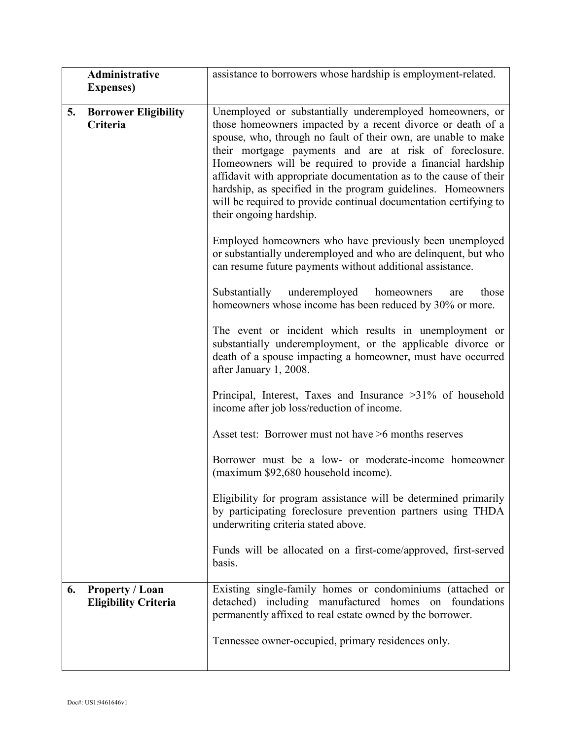| <b>Administrative</b><br>assistance to borrowers whose hardship is employment-related. |                                                                                                                                                                                                                                                                                                                                                                                                                                                                                              |  |
|----------------------------------------------------------------------------------------|----------------------------------------------------------------------------------------------------------------------------------------------------------------------------------------------------------------------------------------------------------------------------------------------------------------------------------------------------------------------------------------------------------------------------------------------------------------------------------------------|--|
| <b>Expenses</b> )                                                                      |                                                                                                                                                                                                                                                                                                                                                                                                                                                                                              |  |
| 5.<br><b>Borrower Eligibility</b>                                                      | Unemployed or substantially underemployed homeowners, or                                                                                                                                                                                                                                                                                                                                                                                                                                     |  |
| Criteria                                                                               | those homeowners impacted by a recent divorce or death of a<br>spouse, who, through no fault of their own, are unable to make<br>their mortgage payments and are at risk of foreclosure.<br>Homeowners will be required to provide a financial hardship<br>affidavit with appropriate documentation as to the cause of their<br>hardship, as specified in the program guidelines. Homeowners<br>will be required to provide continual documentation certifying to<br>their ongoing hardship. |  |
|                                                                                        | Employed homeowners who have previously been unemployed<br>or substantially underemployed and who are delinquent, but who<br>can resume future payments without additional assistance.                                                                                                                                                                                                                                                                                                       |  |
|                                                                                        | Substantially underemployed<br>those<br>homeowners<br>are<br>homeowners whose income has been reduced by 30% or more.                                                                                                                                                                                                                                                                                                                                                                        |  |
|                                                                                        | The event or incident which results in unemployment or<br>substantially underemployment, or the applicable divorce or<br>death of a spouse impacting a homeowner, must have occurred<br>after January 1, 2008.                                                                                                                                                                                                                                                                               |  |
|                                                                                        | Principal, Interest, Taxes and Insurance >31% of household<br>income after job loss/reduction of income.                                                                                                                                                                                                                                                                                                                                                                                     |  |
|                                                                                        | Asset test: Borrower must not have >6 months reserves                                                                                                                                                                                                                                                                                                                                                                                                                                        |  |
|                                                                                        | Borrower must be a low- or moderate-income homeowner<br>(maximum \$92,680 household income).                                                                                                                                                                                                                                                                                                                                                                                                 |  |
|                                                                                        | Eligibility for program assistance will be determined primarily<br>by participating foreclosure prevention partners using THDA<br>underwriting criteria stated above.                                                                                                                                                                                                                                                                                                                        |  |
|                                                                                        | Funds will be allocated on a first-come/approved, first-served<br>basis.                                                                                                                                                                                                                                                                                                                                                                                                                     |  |
| <b>Property / Loan</b><br>6.<br><b>Eligibility Criteria</b>                            | Existing single-family homes or condominiums (attached or<br>detached) including manufactured homes on foundations<br>permanently affixed to real estate owned by the borrower.                                                                                                                                                                                                                                                                                                              |  |
|                                                                                        | Tennessee owner-occupied, primary residences only.                                                                                                                                                                                                                                                                                                                                                                                                                                           |  |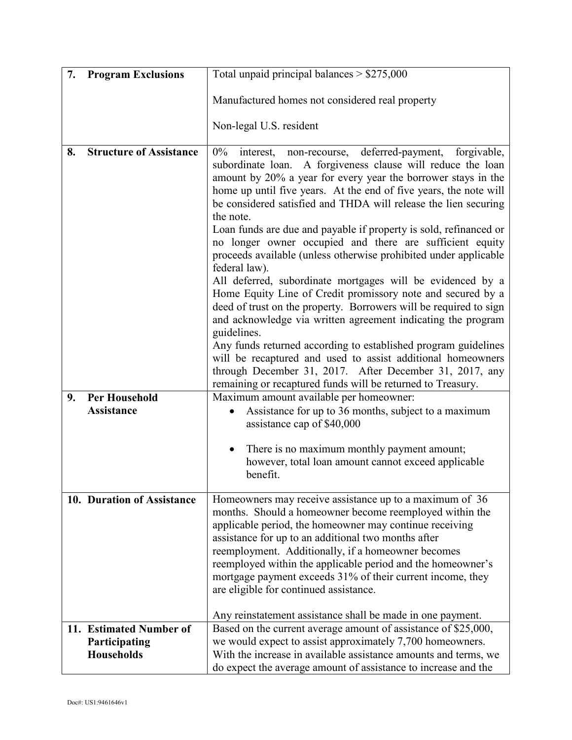| 7. | <b>Program Exclusions</b>                 | Total unpaid principal balances $> $275,000$                                                                                                                                                                                                                                                                                                                                                                                                                                                                                                                                                                                                                                                                                                                                                                                                                                                                                                                                                                                                                                                                             |  |
|----|-------------------------------------------|--------------------------------------------------------------------------------------------------------------------------------------------------------------------------------------------------------------------------------------------------------------------------------------------------------------------------------------------------------------------------------------------------------------------------------------------------------------------------------------------------------------------------------------------------------------------------------------------------------------------------------------------------------------------------------------------------------------------------------------------------------------------------------------------------------------------------------------------------------------------------------------------------------------------------------------------------------------------------------------------------------------------------------------------------------------------------------------------------------------------------|--|
|    |                                           | Manufactured homes not considered real property                                                                                                                                                                                                                                                                                                                                                                                                                                                                                                                                                                                                                                                                                                                                                                                                                                                                                                                                                                                                                                                                          |  |
|    |                                           | Non-legal U.S. resident                                                                                                                                                                                                                                                                                                                                                                                                                                                                                                                                                                                                                                                                                                                                                                                                                                                                                                                                                                                                                                                                                                  |  |
| 8. | <b>Structure of Assistance</b>            | $0\%$<br>interest, non-recourse, deferred-payment,<br>forgivable,<br>subordinate loan. A forgiveness clause will reduce the loan<br>amount by 20% a year for every year the borrower stays in the<br>home up until five years. At the end of five years, the note will<br>be considered satisfied and THDA will release the lien securing<br>the note.<br>Loan funds are due and payable if property is sold, refinanced or<br>no longer owner occupied and there are sufficient equity<br>proceeds available (unless otherwise prohibited under applicable<br>federal law).<br>All deferred, subordinate mortgages will be evidenced by a<br>Home Equity Line of Credit promissory note and secured by a<br>deed of trust on the property. Borrowers will be required to sign<br>and acknowledge via written agreement indicating the program<br>guidelines.<br>Any funds returned according to established program guidelines<br>will be recaptured and used to assist additional homeowners<br>through December 31, 2017. After December 31, 2017, any<br>remaining or recaptured funds will be returned to Treasury. |  |
| 9. | <b>Per Household</b><br><b>Assistance</b> | Maximum amount available per homeowner:<br>Assistance for up to 36 months, subject to a maximum<br>$\bullet$<br>assistance cap of \$40,000                                                                                                                                                                                                                                                                                                                                                                                                                                                                                                                                                                                                                                                                                                                                                                                                                                                                                                                                                                               |  |
|    |                                           | There is no maximum monthly payment amount;<br>$\bullet$<br>however, total loan amount cannot exceed applicable<br>benefit.                                                                                                                                                                                                                                                                                                                                                                                                                                                                                                                                                                                                                                                                                                                                                                                                                                                                                                                                                                                              |  |
|    | 10. Duration of Assistance                | Homeowners may receive assistance up to a maximum of 36<br>months. Should a homeowner become reemployed within the<br>applicable period, the homeowner may continue receiving<br>assistance for up to an additional two months after<br>reemployment. Additionally, if a homeowner becomes<br>reemployed within the applicable period and the homeowner's<br>mortgage payment exceeds 31% of their current income, they<br>are eligible for continued assistance.                                                                                                                                                                                                                                                                                                                                                                                                                                                                                                                                                                                                                                                        |  |
|    | 11. Estimated Number of                   | Any reinstatement assistance shall be made in one payment.                                                                                                                                                                                                                                                                                                                                                                                                                                                                                                                                                                                                                                                                                                                                                                                                                                                                                                                                                                                                                                                               |  |
|    | Participating<br><b>Households</b>        | Based on the current average amount of assistance of \$25,000,<br>we would expect to assist approximately 7,700 homeowners.<br>With the increase in available assistance amounts and terms, we<br>do expect the average amount of assistance to increase and the                                                                                                                                                                                                                                                                                                                                                                                                                                                                                                                                                                                                                                                                                                                                                                                                                                                         |  |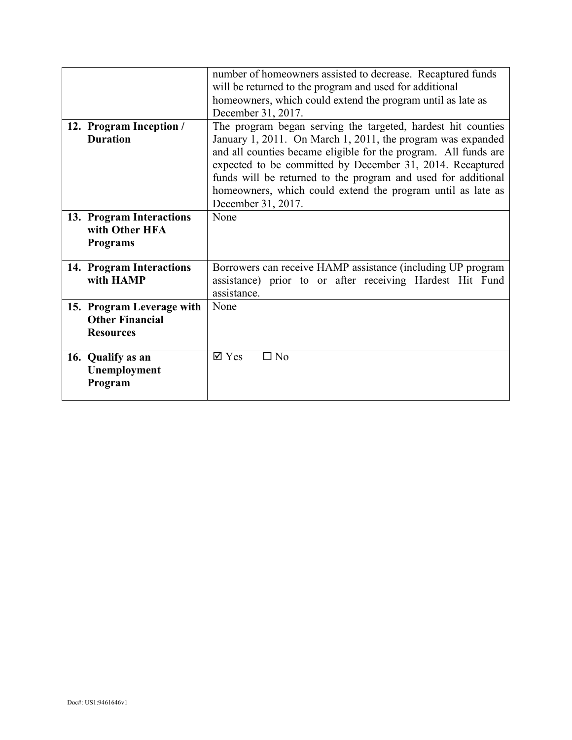|                                                                         | number of homeowners assisted to decrease. Recaptured funds<br>will be returned to the program and used for additional<br>homeowners, which could extend the program until as late as<br>December 31, 2017.                                                                                                                                                                                                       |
|-------------------------------------------------------------------------|-------------------------------------------------------------------------------------------------------------------------------------------------------------------------------------------------------------------------------------------------------------------------------------------------------------------------------------------------------------------------------------------------------------------|
| 12. Program Inception /<br><b>Duration</b>                              | The program began serving the targeted, hardest hit counties<br>January 1, 2011. On March 1, 2011, the program was expanded<br>and all counties became eligible for the program. All funds are<br>expected to be committed by December 31, 2014. Recaptured<br>funds will be returned to the program and used for additional<br>homeowners, which could extend the program until as late as<br>December 31, 2017. |
| 13. Program Interactions<br>with Other HFA<br><b>Programs</b>           | None                                                                                                                                                                                                                                                                                                                                                                                                              |
| 14. Program Interactions<br>with HAMP                                   | Borrowers can receive HAMP assistance (including UP program<br>assistance) prior to or after receiving Hardest Hit Fund<br>assistance.                                                                                                                                                                                                                                                                            |
| 15. Program Leverage with<br><b>Other Financial</b><br><b>Resources</b> | None                                                                                                                                                                                                                                                                                                                                                                                                              |
| 16. Qualify as an<br>Unemployment<br>Program                            | $\overline{\mathsf{Y}}$ Yes<br>$\Box$ No                                                                                                                                                                                                                                                                                                                                                                          |